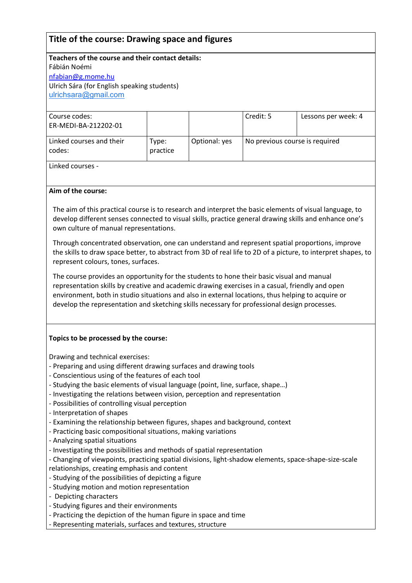# **Title of the course: Drawing space and figures**

**Teachers of the course and their contact details:** Fábián Noémi [nfabian@g.mome.hu](mailto:nfabian@g.mome.hu) Ulrich Sára (for English speaking students) [ulrichsara@gmail.com](mailto:ulrichsara@gmail.com)

| Course codes:<br>ER-MEDI-BA-212202-01 |                   |               | Credit: 5                      | Lessons per week: 4 |
|---------------------------------------|-------------------|---------------|--------------------------------|---------------------|
| Linked courses and their<br>codes:    | Type:<br>practice | Optional: yes | No previous course is required |                     |

Linked courses -

# **Aim of the course:**

The aim of this practical course is to research and interpret the basic elements of visual language, to develop different senses connected to visual skills, practice general drawing skills and enhance one's own culture of manual representations.

Through concentrated observation, one can understand and represent spatial proportions, improve the skills to draw space better, to abstract from 3D of real life to 2D of a picture, to interpret shapes, to represent colours, tones, surfaces.

The course provides an opportunity for the students to hone their basic visual and manual representation skills by creative and academic drawing exercises in a casual, friendly and open environment, both in studio situations and also in external locations, thus helping to acquire or develop the representation and sketching skills necessary for professional design processes.

#### **Topics to be processed by the course:**

Drawing and technical exercises:

- Preparing and using different drawing surfaces and drawing tools
- Conscientious using of the features of each tool
- Studying the basic elements of visual language (point, line, surface, shape…)
- Investigating the relations between vision, perception and representation
- Possibilities of controlling visual perception
- Interpretation of shapes
- Examining the relationship between figures, shapes and background, context
- Practicing basic compositional situations, making variations
- Analyzing spatial situations
- Investigating the possibilities and methods of spatial representation

- Changing of viewpoints, practicing spatial divisions, light-shadow elements, space-shape-size-scale

- relationships, creating emphasis and content
- Studying of the possibilities of depicting a figure
- Studying motion and motion representation
- Depicting characters
- Studying figures and their environments
- Practicing the depiction of the human figure in space and time
- Representing materials, surfaces and textures, structure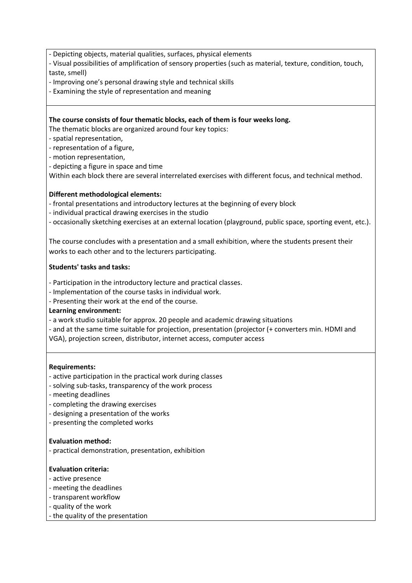- Depicting objects, material qualities, surfaces, physical elements

- Visual possibilities of amplification of sensory properties (such as material, texture, condition, touch, taste, smell)
- Improving one's personal drawing style and technical skills
- Examining the style of representation and meaning

# **The course consists of four thematic blocks, each of them is four weeks long.**

The thematic blocks are organized around four key topics:

- spatial representation,
- representation of a figure,
- motion representation,
- depicting a figure in space and time

Within each block there are several interrelated exercises with different focus, and technical method.

# **Different methodological elements:**

- frontal presentations and introductory lectures at the beginning of every block
- individual practical drawing exercises in the studio
- occasionally sketching exercises at an external location (playground, public space, sporting event, etc.).

The course concludes with a presentation and a small exhibition, where the students present their works to each other and to the lecturers participating.

# **Students' tasks and tasks:**

- Participation in the introductory lecture and practical classes.
- Implementation of the course tasks in individual work.
- Presenting their work at the end of the course.
- **Learning environment:**
- a work studio suitable for approx. 20 people and academic drawing situations
- and at the same time suitable for projection, presentation (projector (+ converters min. HDMI and
- VGA), projection screen, distributor, internet access, computer access

#### **Requirements:**

- active participation in the practical work during classes
- solving sub-tasks, transparency of the work process
- meeting deadlines
- completing the drawing exercises
- designing a presentation of the works
- presenting the completed works

#### **Evaluation method:**

- practical demonstration, presentation, exhibition

#### **Evaluation criteria:**

- active presence
- meeting the deadlines
- transparent workflow
- quality of the work
- the quality of the presentation